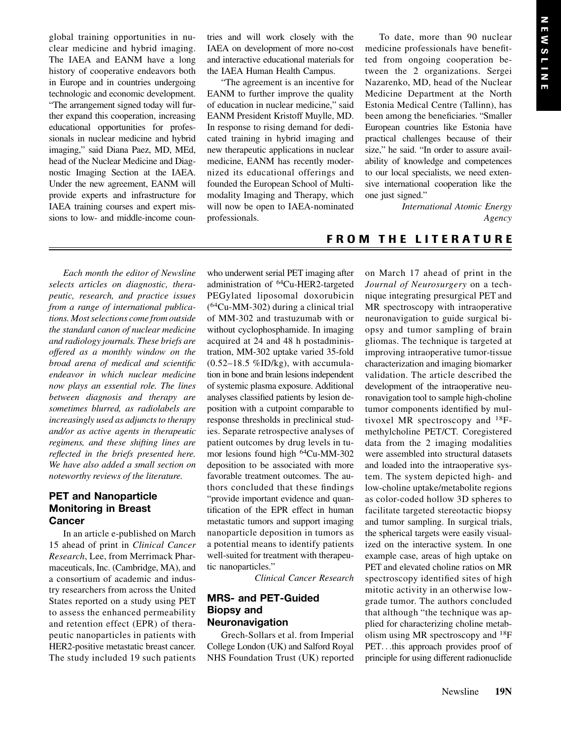global training opportunities in nuclear medicine and hybrid imaging. The IAEA and EANM have a long history of cooperative endeavors both in Europe and in countries undergoing technologic and economic development. "The arrangement signed today will further expand this cooperation, increasing educational opportunities for professionals in nuclear medicine and hybrid imaging," said Diana Paez, MD, MEd, head of the Nuclear Medicine and Diagnostic Imaging Section at the IAEA. Under the new agreement, EANM will provide experts and infrastructure for IAEA training courses and expert missions to low- and middle-income countries and will work closely with the IAEA on development of more no-cost and interactive educational materials for the [IAEA Human Health Campus.](https://humanhealth.iaea.org/hhw/)

"The agreement is an incentive for EANM to further improve the quality of education in nuclear medicine," said EANM President Kristoff Muylle, MD. In response to rising demand for dedicated training in hybrid imaging and new therapeutic applications in nuclear medicine, EANM has recently modernized its educational offerings and founded the European School of Multimodality Imaging and Therapy, which will now be open to IAEA-nominated professionals.

To date, more than 90 nuclear medicine professionals have benefitted from ongoing cooperation between the 2 organizations. Sergei Nazarenko, MD, head of the Nuclear Medicine Department at the North Estonia Medical Centre (Tallinn), has been among the beneficiaries. "Smaller European countries like Estonia have practical challenges because of their size," he said. "In order to assure availability of knowledge and competences to our local specialists, we need extensive international cooperation like the one just signed."

> International Atomic Energy Agency

# FROM THE LITERATURE

Each month the editor of Newsline selects articles on diagnostic, therapeutic, research, and practice issues from a range of international publications. Most selections come from outside the standard canon of nuclear medicine and radiology journals. These briefs are offered as a monthly window on the broad arena of medical and scientific endeavor in which nuclear medicine now plays an essential role. The lines between diagnosis and therapy are sometimes blurred, as radiolabels are increasingly used as adjuncts to therapy and/or as active agents in therapeutic regimens, and these shifting lines are reflected in the briefs presented here. We have also added a small section on noteworthy reviews of the literature.

# PET and Nanoparticle Monitoring in Breast **Cancer**

In an article e-published on March 15 ahead of print in Clinical Cancer Research, Lee, from Merrimack Pharmaceuticals, Inc. (Cambridge, MA), and a consortium of academic and industry researchers from across the United States reported on a study using PET to assess the enhanced permeability and retention effect (EPR) of therapeutic nanoparticles in patients with HER2-positive metastatic breast cancer. The study included 19 such patients

who underwent serial PET imaging after administration of 64Cu-HER2-targeted PEGylated liposomal doxorubicin  $(^{64}Cu-MM-302)$  during a clinical trial of MM-302 and trastuzumab with or without cyclophosphamide. In imaging acquired at 24 and 48 h postadministration, MM-302 uptake varied 35-fold  $(0.52-18.5 \, \% ID/kg)$ , with accumulation in bone and brain lesions independent of systemic plasma exposure. Additional analyses classified patients by lesion deposition with a cutpoint comparable to response thresholds in preclinical studies. Separate retrospective analyses of patient outcomes by drug levels in tumor lesions found high <sup>64</sup>Cu-MM-302 deposition to be associated with more favorable treatment outcomes. The authors concluded that these findings "provide important evidence and quantification of the EPR effect in human metastatic tumors and support imaging nanoparticle deposition in tumors as a potential means to identify patients well-suited for treatment with therapeutic nanoparticles."

Clinical Cancer Research

### MRS- and PET-Guided Biopsy and Neuronavigation

Grech-Sollars et al. from Imperial College London (UK) and Salford Royal NHS Foundation Trust (UK) reported on March 17 ahead of print in the Journal of Neurosurgery on a technique integrating presurgical PET and MR spectroscopy with intraoperative neuronavigation to guide surgical biopsy and tumor sampling of brain gliomas. The technique is targeted at improving intraoperative tumor-tissue characterization and imaging biomarker validation. The article described the development of the intraoperative neuronavigation tool to sample high-choline tumor components identified by multivoxel MR spectroscopy and  $^{18}F$ methylcholine PET/CT. Coregistered data from the 2 imaging modalities were assembled into structural datasets and loaded into the intraoperative system. The system depicted high- and low-choline uptake/metabolite regions as color-coded hollow 3D spheres to facilitate targeted stereotactic biopsy and tumor sampling. In surgical trials, the spherical targets were easily visualized on the interactive system. In one example case, areas of high uptake on PET and elevated choline ratios on MR spectroscopy identified sites of high mitotic activity in an otherwise lowgrade tumor. The authors concluded that although "the technique was applied for characterizing choline metabolism using MR spectroscopy and 18F PET...this approach provides proof of principle for using different radionuclide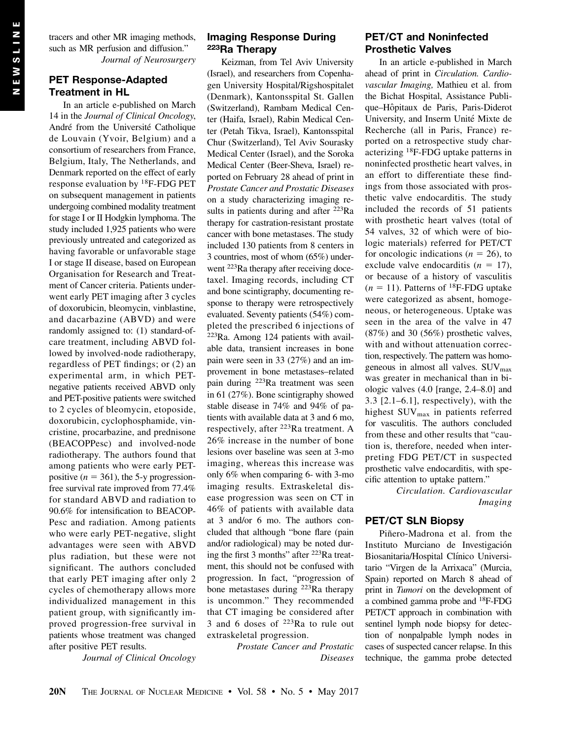tracers and other MR imaging methods, such as MR perfusion and diffusion." Journal of Neurosurgery

### PET Response-Adapted Treatment in HL

In an article e-published on March 14 in the Journal of Clinical Oncology, André from the Université Catholique de Louvain (Yvoir, Belgium) and a consortium of researchers from France, Belgium, Italy, The Netherlands, and Denmark reported on the effect of early response evaluation by 18F-FDG PET on subsequent management in patients undergoing combined modality treatment for stage I or II Hodgkin lymphoma. The study included 1,925 patients who were previously untreated and categorized as having favorable or unfavorable stage I or stage II disease, based on European Organisation for Research and Treatment of Cancer criteria. Patients underwent early PET imaging after 3 cycles of doxorubicin, bleomycin, vinblastine, and dacarbazine (ABVD) and were randomly assigned to: (1) standard-ofcare treatment, including ABVD followed by involved-node radiotherapy, regardless of PET findings; or (2) an experimental arm, in which PETnegative patients received ABVD only and PET-positive patients were switched to 2 cycles of bleomycin, etoposide, doxorubicin, cyclophosphamide, vincristine, procarbazine, and prednisone (BEACOPPesc) and involved-node radiotherapy. The authors found that among patients who were early PETpositive ( $n = 361$ ), the 5-y progressionfree survival rate improved from 77.4% for standard ABVD and radiation to 90.6% for intensification to BEACOP-Pesc and radiation. Among patients who were early PET-negative, slight advantages were seen with ABVD plus radiation, but these were not significant. The authors concluded that early PET imaging after only 2 cycles of chemotherapy allows more individualized management in this patient group, with significantly improved progression-free survival in patients whose treatment was changed after positive PET results.

Journal of Clinical Oncology

#### Imaging Response During 223Ra Therapy

Keizman, from Tel Aviv University (Israel), and researchers from Copenhagen University Hospital/Rigshospitalet (Denmark), Kantonsspital St. Gallen (Switzerland), Rambam Medical Center (Haifa, Israel), Rabin Medical Center (Petah Tikva, Israel), Kantonsspital Chur (Switzerland), Tel Aviv Sourasky Medical Center (Israel), and the Soroka Medical Center (Beer-Sheva, Israel) reported on February 28 ahead of print in Prostate Cancer and Prostatic Diseases on a study characterizing imaging results in patients during and after <sup>223</sup>Ra therapy for castration-resistant prostate cancer with bone metastases. The study included 130 patients from 8 centers in 3 countries, most of whom (65%) underwent <sup>223</sup>Ra therapy after receiving docetaxel. Imaging records, including CT and bone scintigraphy, documenting response to therapy were retrospectively evaluated. Seventy patients (54%) completed the prescribed 6 injections of  $223$ Ra. Among 124 patients with available data, transient increases in bone pain were seen in 33 (27%) and an improvement in bone metastases–related pain during 223Ra treatment was seen in 61 (27%). Bone scintigraphy showed stable disease in 74% and 94% of patients with available data at 3 and 6 mo, respectively, after <sup>223</sup>Ra treatment. A 26% increase in the number of bone lesions over baseline was seen at 3-mo imaging, whereas this increase was only 6% when comparing 6- with 3-mo imaging results. Extraskeletal disease progression was seen on CT in 46% of patients with available data at 3 and/or 6 mo. The authors concluded that although "bone flare (pain and/or radiological) may be noted during the first 3 months" after 223Ra treatment, this should not be confused with progression. In fact, "progression of bone metastases during  $^{223}$ Ra therapy is uncommon." They recommended that CT imaging be considered after 3 and 6 doses of  $^{223}$ Ra to rule out extraskeletal progression.

> Prostate Cancer and Prostatic Diseases

## PET/CT and Noninfected Prosthetic Valves

In an article e-published in March ahead of print in Circulation. Cardiovascular Imaging, Mathieu et al. from the Bichat Hospital, Assistance Publique–Hôpitaux de Paris, Paris-Diderot University, and Inserm Unité Mixte de Recherche (all in Paris, France) reported on a retrospective study characterizing 18F-FDG uptake patterns in noninfected prosthetic heart valves, in an effort to differentiate these findings from those associated with prosthetic valve endocarditis. The study included the records of 51 patients with prosthetic heart valves (total of 54 valves, 32 of which were of biologic materials) referred for PET/CT for oncologic indications ( $n = 26$ ), to exclude valve endocarditis  $(n = 17)$ , or because of a history of vasculitis  $(n = 11)$ . Patterns of <sup>18</sup>F-FDG uptake were categorized as absent, homogeneous, or heterogeneous. Uptake was seen in the area of the valve in 47 (87%) and 30 (56%) prosthetic valves, with and without attenuation correction, respectively. The pattern was homogeneous in almost all valves.  $\text{SUV}_{\text{max}}$ was greater in mechanical than in biologic valves (4.0 [range, 2.4–8.0] and 3.3  $[2.1-6.1]$ , respectively), with the highest SUV<sub>max</sub> in patients referred for vasculitis. The authors concluded from these and other results that "caution is, therefore, needed when interpreting FDG PET/CT in suspected prosthetic valve endocarditis, with specific attention to uptake pattern."

Circulation. Cardiovascular Imaging

# PET/CT SLN Biopsy

Piñero-Madrona et al. from the Instituto Murciano de Investigación Biosanitaria/Hospital Clínico Universitario "Virgen de la Arrixaca" (Murcia, Spain) reported on March 8 ahead of print in Tumori on the development of a combined gamma probe and 18F-FDG PET/CT approach in combination with sentinel lymph node biopsy for detection of nonpalpable lymph nodes in cases of suspected cancer relapse. In this technique, the gamma probe detected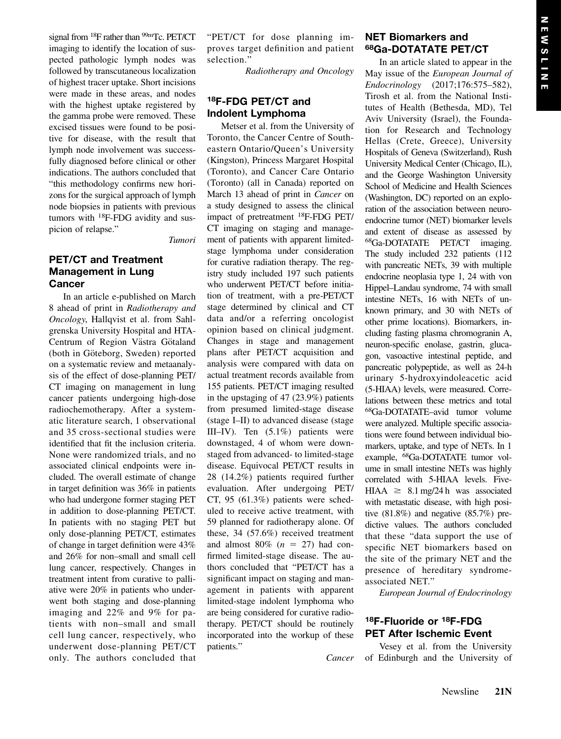signal from <sup>18</sup>F rather than <sup>99m</sup>Tc. PET/CT imaging to identify the location of suspected pathologic lymph nodes was followed by transcutaneous localization of highest tracer uptake. Short incisions were made in these areas, and nodes with the highest uptake registered by the gamma probe were removed. These excised tissues were found to be positive for disease, with the result that lymph node involvement was successfully diagnosed before clinical or other indications. The authors concluded that "this methodology confirms new horizons for the surgical approach of lymph node biopsies in patients with previous tumors with <sup>18</sup>F-FDG avidity and suspicion of relapse."

Tumori

## PET/CT and Treatment Management in Lung **Cancer**

In an article e-published on March 8 ahead of print in Radiotherapy and Oncology, Hallqvist et al. from Sahlgrenska University Hospital and HTA-Centrum of Region Västra Götaland (both in Göteborg, Sweden) reported on a systematic review and metaanalysis of the effect of dose-planning PET/ CT imaging on management in lung cancer patients undergoing high-dose radiochemotherapy. After a systematic literature search, 1 observational and 35 cross-sectional studies were identified that fit the inclusion criteria. None were randomized trials, and no associated clinical endpoints were included. The overall estimate of change in target definition was 36% in patients who had undergone former staging PET in addition to dose-planning PET/CT. In patients with no staging PET but only dose-planning PET/CT, estimates of change in target definition were 43% and 26% for non–small and small cell lung cancer, respectively. Changes in treatment intent from curative to palliative were 20% in patients who underwent both staging and dose-planning imaging and 22% and 9% for patients with non–small and small cell lung cancer, respectively, who underwent dose-planning PET/CT only. The authors concluded that

"PET/CT for dose planning improves target definition and patient selection."

Radiotherapy and Oncology

# 18F-FDG PET/CT and Indolent Lymphoma

Metser et al. from the University of Toronto, the Cancer Centre of Southeastern Ontario/Queen's University (Kingston), Princess Margaret Hospital (Toronto), and Cancer Care Ontario (Toronto) (all in Canada) reported on March 13 ahead of print in Cancer on a study designed to assess the clinical impact of pretreatment 18F-FDG PET/ CT imaging on staging and management of patients with apparent limitedstage lymphoma under consideration for curative radiation therapy. The registry study included 197 such patients who underwent PET/CT before initiation of treatment, with a pre-PET/CT stage determined by clinical and CT data and/or a referring oncologist opinion based on clinical judgment. Changes in stage and management plans after PET/CT acquisition and analysis were compared with data on actual treatment records available from 155 patients. PET/CT imaging resulted in the upstaging of 47 (23.9%) patients from presumed limited-stage disease (stage I–II) to advanced disease (stage III–IV). Ten (5.1%) patients were downstaged, 4 of whom were downstaged from advanced- to limited-stage disease. Equivocal PET/CT results in 28 (14.2%) patients required further evaluation. After undergoing PET/ CT, 95 (61.3%) patients were scheduled to receive active treatment, with 59 planned for radiotherapy alone. Of these, 34 (57.6%) received treatment and almost 80%  $(n = 27)$  had confirmed limited-stage disease. The authors concluded that "PET/CT has a significant impact on staging and management in patients with apparent limited-stage indolent lymphoma who are being considered for curative radiotherapy. PET/CT should be routinely incorporated into the workup of these patients."

## NET Biomarkers and 68Ga-DOTATATE PET/CT

In an article slated to appear in the May issue of the European Journal of Endocrinology (2017;176:575–582), Tirosh et al. from the National Institutes of Health (Bethesda, MD), Tel Aviv University (Israel), the Foundation for Research and Technology Hellas (Crete, Greece), University Hospitals of Geneva (Switzerland), Rush University Medical Center (Chicago, IL), and the George Washington University School of Medicine and Health Sciences (Washington, DC) reported on an exploration of the association between neuroendocrine tumor (NET) biomarker levels and extent of disease as assessed by 68Ga-DOTATATE PET/CT imaging. The study included 232 patients (112 with pancreatic NETs, 39 with multiple endocrine neoplasia type 1, 24 with von Hippel–Landau syndrome, 74 with small intestine NETs, 16 with NETs of unknown primary, and 30 with NETs of other prime locations). Biomarkers, including fasting plasma chromogranin A, neuron-specific enolase, gastrin, glucagon, vasoactive intestinal peptide, and pancreatic polypeptide, as well as 24-h urinary 5-hydroxyindoleacetic acid (5-HIAA) levels, were measured. Correlations between these metrics and total 68Ga-DOTATATE–avid tumor volume were analyzed. Multiple specific associations were found between individual biomarkers, uptake, and type of NETs. In 1 example, 68Ga-DOTATATE tumor volume in small intestine NETs was highly correlated with 5-HIAA levels. Five- $HIAA \geq 8.1$  mg/24 h was associated with metastatic disease, with high positive  $(81.8\%)$  and negative  $(85.7\%)$  predictive values. The authors concluded that these "data support the use of specific NET biomarkers based on the site of the primary NET and the presence of hereditary syndromeassociated NET."

European Journal of Endocrinology

## 18F-Fluoride or 18F-FDG PET After Ischemic Event

Cancer

Vesey et al. from the University of Edinburgh and the University of